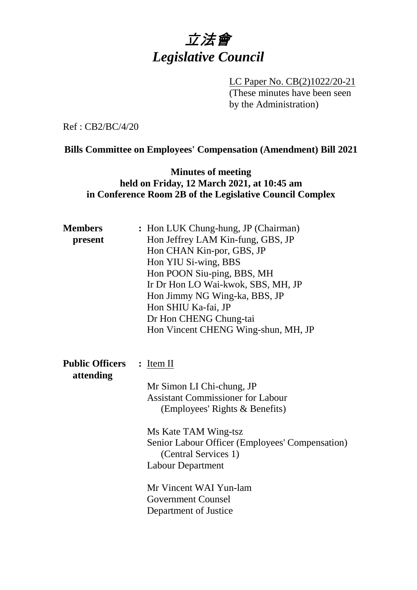

LC Paper No. CB(2)1022/20-21 (These minutes have been seen by the Administration)

Ref : CB2/BC/4/20

### **Bills Committee on Employees' Compensation (Amendment) Bill 2021**

## **Minutes of meeting held on Friday, 12 March 2021, at 10:45 am in Conference Room 2B of the Legislative Council Complex**

| <b>Members</b><br>present           | : Hon LUK Chung-hung, JP (Chairman)<br>Hon Jeffrey LAM Kin-fung, GBS, JP<br>Hon CHAN Kin-por, GBS, JP<br>Hon YIU Si-wing, BBS<br>Hon POON Siu-ping, BBS, MH<br>Ir Dr Hon LO Wai-kwok, SBS, MH, JP<br>Hon Jimmy NG Wing-ka, BBS, JP<br>Hon SHIU Ka-fai, JP<br>Dr Hon CHENG Chung-tai<br>Hon Vincent CHENG Wing-shun, MH, JP |
|-------------------------------------|----------------------------------------------------------------------------------------------------------------------------------------------------------------------------------------------------------------------------------------------------------------------------------------------------------------------------|
| <b>Public Officers</b><br>attending | $:$ Item II<br>Mr Simon LI Chi-chung, JP<br><b>Assistant Commissioner for Labour</b><br>(Employees' Rights & Benefits)<br>Ms Kate TAM Wing-tsz<br>Senior Labour Officer (Employees' Compensation)<br>(Central Services 1)<br><b>Labour Department</b><br>Mr Vincent WAI Yun-lam<br><b>Government Counsel</b>               |
|                                     | Department of Justice                                                                                                                                                                                                                                                                                                      |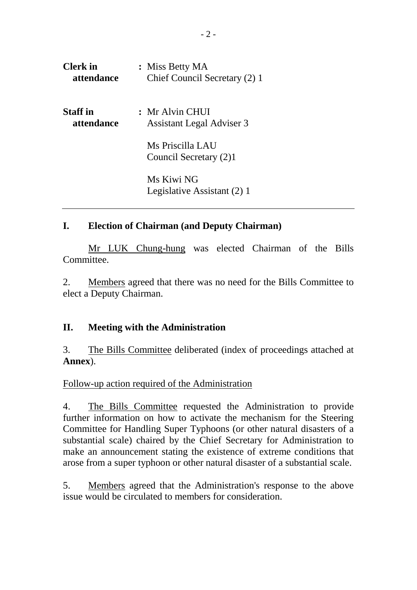| <b>Clerk</b> in | : Miss Betty MA                            |
|-----------------|--------------------------------------------|
| attendance      | Chief Council Secretary (2) 1              |
| <b>Staff</b> in | : Mr Alvin CHUI                            |
| attendance      | <b>Assistant Legal Adviser 3</b>           |
|                 | Ms Priscilla LAU<br>Council Secretary (2)1 |
|                 | Ms Kiwi NG<br>Legislative Assistant (2) 1  |

# **I. Election of Chairman (and Deputy Chairman)**

Mr LUK Chung-hung was elected Chairman of the Bills Committee.

2. Members agreed that there was no need for the Bills Committee to elect a Deputy Chairman.

### **II. Meeting with the Administration**

3. The Bills Committee deliberated (index of proceedings attached at **Annex**).

Follow-up action required of the Administration

4. The Bills Committee requested the Administration to provide further information on how to activate the mechanism for the Steering Committee for Handling Super Typhoons (or other natural disasters of a substantial scale) chaired by the Chief Secretary for Administration to make an announcement stating the existence of extreme conditions that arose from a super typhoon or other natural disaster of a substantial scale.

5. Members agreed that the Administration's response to the above issue would be circulated to members for consideration.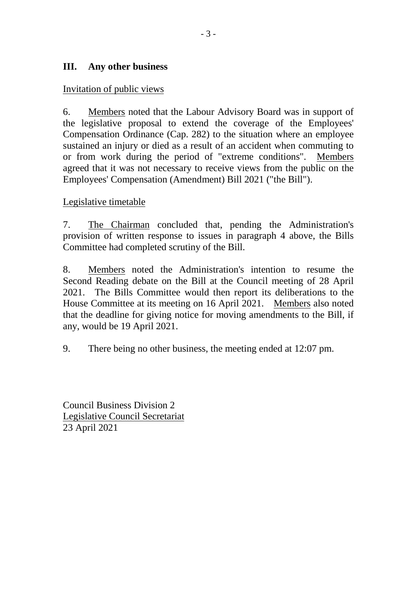# **III. Any other business**

### Invitation of public views

6. Members noted that the Labour Advisory Board was in support of the legislative proposal to extend the coverage of the Employees' Compensation Ordinance (Cap. 282) to the situation where an employee sustained an injury or died as a result of an accident when commuting to or from work during the period of "extreme conditions". Members agreed that it was not necessary to receive views from the public on the Employees' Compensation (Amendment) Bill 2021 ("the Bill").

### Legislative timetable

7. The Chairman concluded that, pending the Administration's provision of written response to issues in paragraph 4 above, the Bills Committee had completed scrutiny of the Bill.

8. Members noted the Administration's intention to resume the Second Reading debate on the Bill at the Council meeting of 28 April 2021. The Bills Committee would then report its deliberations to the House Committee at its meeting on 16 April 2021. Members also noted that the deadline for giving notice for moving amendments to the Bill, if any, would be 19 April 2021.

9. There being no other business, the meeting ended at 12:07 pm.

Council Business Division 2 Legislative Council Secretariat 23 April 2021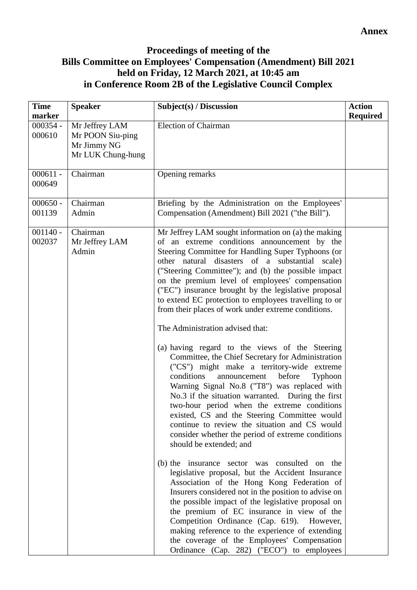# **Proceedings of meeting of the Bills Committee on Employees' Compensation (Amendment) Bill 2021 held on Friday, 12 March 2021, at 10:45 am in Conference Room 2B of the Legislative Council Complex**

| <b>Time</b><br>marker | <b>Speaker</b>                                                         | Subject(s) / Discussion                                                                                                                                                                                                                                                                                                                                                                                                                                                                                                                                                                                                                                                                                                                                                                                                                                                                                                                                                                                                                                                                                                                                                                                                                                                                                                                                                                                                                                                                                                                                                                     | <b>Action</b><br><b>Required</b> |
|-----------------------|------------------------------------------------------------------------|---------------------------------------------------------------------------------------------------------------------------------------------------------------------------------------------------------------------------------------------------------------------------------------------------------------------------------------------------------------------------------------------------------------------------------------------------------------------------------------------------------------------------------------------------------------------------------------------------------------------------------------------------------------------------------------------------------------------------------------------------------------------------------------------------------------------------------------------------------------------------------------------------------------------------------------------------------------------------------------------------------------------------------------------------------------------------------------------------------------------------------------------------------------------------------------------------------------------------------------------------------------------------------------------------------------------------------------------------------------------------------------------------------------------------------------------------------------------------------------------------------------------------------------------------------------------------------------------|----------------------------------|
| $000354 -$<br>000610  | Mr Jeffrey LAM<br>Mr POON Siu-ping<br>Mr Jimmy NG<br>Mr LUK Chung-hung | <b>Election of Chairman</b>                                                                                                                                                                                                                                                                                                                                                                                                                                                                                                                                                                                                                                                                                                                                                                                                                                                                                                                                                                                                                                                                                                                                                                                                                                                                                                                                                                                                                                                                                                                                                                 |                                  |
| $000611 -$<br>000649  | Chairman                                                               | Opening remarks                                                                                                                                                                                                                                                                                                                                                                                                                                                                                                                                                                                                                                                                                                                                                                                                                                                                                                                                                                                                                                                                                                                                                                                                                                                                                                                                                                                                                                                                                                                                                                             |                                  |
| $000650 -$<br>001139  | Chairman<br>Admin                                                      | Briefing by the Administration on the Employees'<br>Compensation (Amendment) Bill 2021 ("the Bill").                                                                                                                                                                                                                                                                                                                                                                                                                                                                                                                                                                                                                                                                                                                                                                                                                                                                                                                                                                                                                                                                                                                                                                                                                                                                                                                                                                                                                                                                                        |                                  |
| $001140 -$<br>002037  | Chairman<br>Mr Jeffrey LAM<br>Admin                                    | Mr Jeffrey LAM sought information on (a) the making<br>of an extreme conditions announcement by the<br>Steering Committee for Handling Super Typhoons (or<br>other natural disasters of a substantial scale)<br>("Steering Committee"); and (b) the possible impact<br>on the premium level of employees' compensation<br>("EC") insurance brought by the legislative proposal<br>to extend EC protection to employees travelling to or<br>from their places of work under extreme conditions.<br>The Administration advised that:<br>(a) having regard to the views of the Steering<br>Committee, the Chief Secretary for Administration<br>("CS") might make a territory-wide extreme<br>before<br>conditions<br>announcement<br>Typhoon<br>Warning Signal No.8 ("T8") was replaced with<br>No.3 if the situation warranted. During the first<br>two-hour period when the extreme conditions<br>existed, CS and the Steering Committee would<br>continue to review the situation and CS would<br>consider whether the period of extreme conditions<br>should be extended; and<br>(b) the insurance sector was consulted on the<br>legislative proposal, but the Accident Insurance<br>Association of the Hong Kong Federation of<br>Insurers considered not in the position to advise on<br>the possible impact of the legislative proposal on<br>the premium of EC insurance in view of the<br>Competition Ordinance (Cap. 619). However,<br>making reference to the experience of extending<br>the coverage of the Employees' Compensation<br>Ordinance (Cap. 282) ("ECO") to employees |                                  |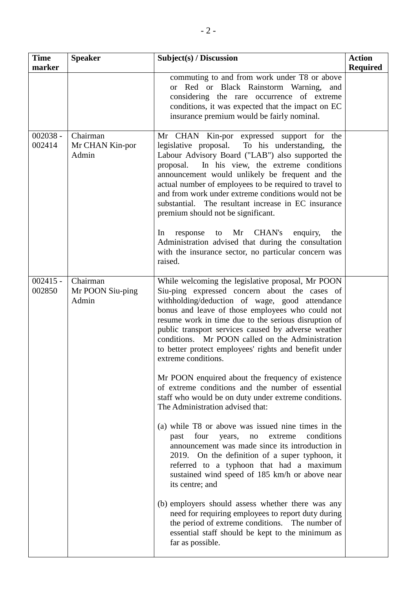| <b>Time</b><br>marker | <b>Speaker</b>                        | Subject(s) / Discussion                                                                                                                                                                                                                                                                                                                                                                                                                                                                                                                                                                                                                                       | <b>Action</b><br><b>Required</b> |
|-----------------------|---------------------------------------|---------------------------------------------------------------------------------------------------------------------------------------------------------------------------------------------------------------------------------------------------------------------------------------------------------------------------------------------------------------------------------------------------------------------------------------------------------------------------------------------------------------------------------------------------------------------------------------------------------------------------------------------------------------|----------------------------------|
|                       |                                       | commuting to and from work under T8 or above<br>or Red or Black Rainstorm Warning, and<br>considering the rare occurrence of extreme<br>conditions, it was expected that the impact on EC<br>insurance premium would be fairly nominal.                                                                                                                                                                                                                                                                                                                                                                                                                       |                                  |
| $002038 -$<br>002414  | Chairman<br>Mr CHAN Kin-por<br>Admin  | Mr CHAN Kin-por expressed support for<br>the<br>legislative proposal. To his understanding,<br>the<br>Labour Advisory Board ("LAB") also supported the<br>In his view, the extreme conditions<br>proposal.<br>announcement would unlikely be frequent and the<br>actual number of employees to be required to travel to<br>and from work under extreme conditions would not be<br>substantial.<br>The resultant increase in EC insurance<br>premium should not be significant.<br>to Mr CHAN's<br>enquiry,<br>In<br>response<br>the<br>Administration advised that during the consultation<br>with the insurance sector, no particular concern was<br>raised. |                                  |
| $002415 -$<br>002850  | Chairman<br>Mr POON Siu-ping<br>Admin | While welcoming the legislative proposal, Mr POON<br>Siu-ping expressed concern about the cases of<br>withholding/deduction of wage, good attendance<br>bonus and leave of those employees who could not<br>resume work in time due to the serious disruption of<br>public transport services caused by adverse weather<br>conditions. Mr POON called on the Administration<br>to better protect employees' rights and benefit under<br>extreme conditions.                                                                                                                                                                                                   |                                  |
|                       |                                       | Mr POON enquired about the frequency of existence<br>of extreme conditions and the number of essential<br>staff who would be on duty under extreme conditions.<br>The Administration advised that:                                                                                                                                                                                                                                                                                                                                                                                                                                                            |                                  |
|                       |                                       | (a) while T8 or above was issued nine times in the<br>four<br>conditions<br>past<br>years,<br>extreme<br>no<br>announcement was made since its introduction in<br>2019. On the definition of a super typhoon, it<br>referred to a typhoon that had a maximum<br>sustained wind speed of 185 km/h or above near<br>its centre; and                                                                                                                                                                                                                                                                                                                             |                                  |
|                       |                                       | (b) employers should assess whether there was any<br>need for requiring employees to report duty during<br>the period of extreme conditions. The number of<br>essential staff should be kept to the minimum as<br>far as possible.                                                                                                                                                                                                                                                                                                                                                                                                                            |                                  |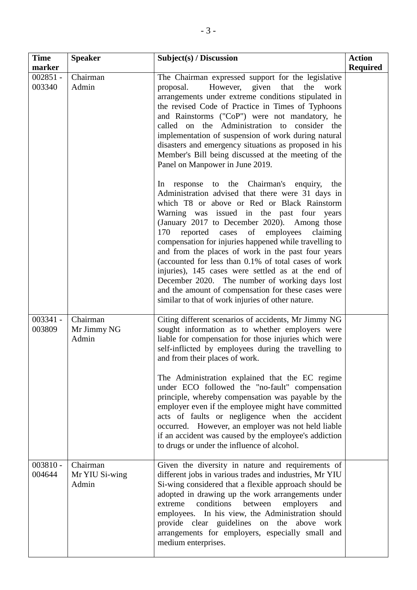| <b>Time</b><br>marker | <b>Speaker</b>                      | Subject(s) / Discussion                                                                                                                                                                                                                                                                                                                                                                                                                                                                                                                                                                                                                                                                               | <b>Action</b><br><b>Required</b> |
|-----------------------|-------------------------------------|-------------------------------------------------------------------------------------------------------------------------------------------------------------------------------------------------------------------------------------------------------------------------------------------------------------------------------------------------------------------------------------------------------------------------------------------------------------------------------------------------------------------------------------------------------------------------------------------------------------------------------------------------------------------------------------------------------|----------------------------------|
| $002851 -$<br>003340  | Chairman<br>Admin                   | The Chairman expressed support for the legislative<br>However, given that the<br>proposal.<br>work<br>arrangements under extreme conditions stipulated in<br>the revised Code of Practice in Times of Typhoons<br>and Rainstorms ("CoP") were not mandatory, he<br>called on the Administration to consider the<br>implementation of suspension of work during natural<br>disasters and emergency situations as proposed in his<br>Member's Bill being discussed at the meeting of the<br>Panel on Manpower in June 2019.                                                                                                                                                                             |                                  |
|                       |                                     | response to the Chairman's enquiry,<br>the<br>In<br>Administration advised that there were 31 days in<br>which T8 or above or Red or Black Rainstorm<br>Warning was issued in the past four years<br>(January 2017 to December 2020). Among those<br>170<br>reported cases<br>of<br>employees<br>claiming<br>compensation for injuries happened while travelling to<br>and from the places of work in the past four years<br>(accounted for less than 0.1% of total cases of work<br>injuries), 145 cases were settled as at the end of<br>December 2020. The number of working days lost<br>and the amount of compensation for these cases were<br>similar to that of work injuries of other nature. |                                  |
| $003341 -$<br>003809  | Chairman<br>Mr Jimmy NG<br>Admin    | Citing different scenarios of accidents, Mr Jimmy NG<br>sought information as to whether employers were<br>liable for compensation for those injuries which were<br>self-inflicted by employees during the travelling to<br>and from their places of work.<br>The Administration explained that the EC regime<br>under ECO followed the "no-fault" compensation<br>principle, whereby compensation was payable by the<br>employer even if the employee might have committed<br>acts of faults or negligence when the accident<br>occurred. However, an employer was not held liable<br>if an accident was caused by the employee's addiction<br>to drugs or under the influence of alcohol.           |                                  |
| $003810 -$<br>004644  | Chairman<br>Mr YIU Si-wing<br>Admin | Given the diversity in nature and requirements of<br>different jobs in various trades and industries, Mr YIU<br>Si-wing considered that a flexible approach should be<br>adopted in drawing up the work arrangements under<br>conditions<br>extreme<br>between<br>employers<br>and<br>employees. In his view, the Administration should<br>provide clear guidelines on the above work<br>arrangements for employers, especially small and<br>medium enterprises.                                                                                                                                                                                                                                      |                                  |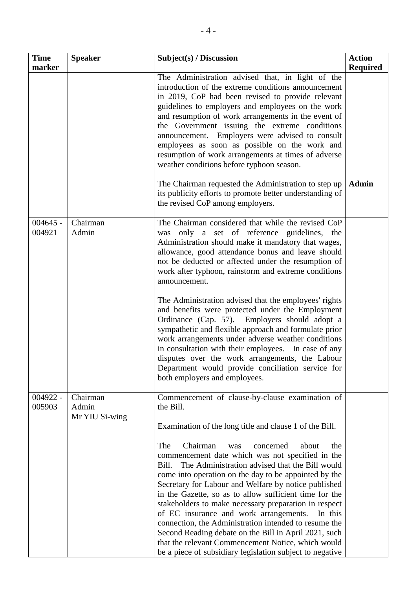| <b>Time</b><br>marker | <b>Speaker</b>                      | Subject(s) / Discussion                                                                                                                                                                                                                                                                                                                                                                                                                                                                                                                                                                                                                                                                         | <b>Action</b><br><b>Required</b> |
|-----------------------|-------------------------------------|-------------------------------------------------------------------------------------------------------------------------------------------------------------------------------------------------------------------------------------------------------------------------------------------------------------------------------------------------------------------------------------------------------------------------------------------------------------------------------------------------------------------------------------------------------------------------------------------------------------------------------------------------------------------------------------------------|----------------------------------|
|                       |                                     | The Administration advised that, in light of the<br>introduction of the extreme conditions announcement<br>in 2019, CoP had been revised to provide relevant<br>guidelines to employers and employees on the work<br>and resumption of work arrangements in the event of<br>the Government issuing the extreme conditions<br>announcement. Employers were advised to consult<br>employees as soon as possible on the work and<br>resumption of work arrangements at times of adverse<br>weather conditions before typhoon season.                                                                                                                                                               |                                  |
|                       |                                     | The Chairman requested the Administration to step up<br>its publicity efforts to promote better understanding of<br>the revised CoP among employers.                                                                                                                                                                                                                                                                                                                                                                                                                                                                                                                                            | <b>Admin</b>                     |
| $004645 -$<br>004921  | Chairman<br>Admin                   | The Chairman considered that while the revised CoP<br>only a set of reference guidelines, the<br>was<br>Administration should make it mandatory that wages,<br>allowance, good attendance bonus and leave should<br>not be deducted or affected under the resumption of<br>work after typhoon, rainstorm and extreme conditions<br>announcement.                                                                                                                                                                                                                                                                                                                                                |                                  |
|                       |                                     | The Administration advised that the employees' rights<br>and benefits were protected under the Employment<br>Employers should adopt a<br>Ordinance (Cap. 57).<br>sympathetic and flexible approach and formulate prior<br>work arrangements under adverse weather conditions<br>in consultation with their employees. In case of any<br>disputes over the work arrangements, the Labour<br>Department would provide conciliation service for<br>both employers and employees.                                                                                                                                                                                                                   |                                  |
| $004922 -$<br>005903  | Chairman<br>Admin<br>Mr YIU Si-wing | Commencement of clause-by-clause examination of<br>the Bill.<br>Examination of the long title and clause 1 of the Bill.                                                                                                                                                                                                                                                                                                                                                                                                                                                                                                                                                                         |                                  |
|                       |                                     | Chairman<br>The<br>concerned<br>about<br>the<br>was<br>commencement date which was not specified in the<br>The Administration advised that the Bill would<br>Bill.<br>come into operation on the day to be appointed by the<br>Secretary for Labour and Welfare by notice published<br>in the Gazette, so as to allow sufficient time for the<br>stakeholders to make necessary preparation in respect<br>of EC insurance and work arrangements.<br>In this<br>connection, the Administration intended to resume the<br>Second Reading debate on the Bill in April 2021, such<br>that the relevant Commencement Notice, which would<br>be a piece of subsidiary legislation subject to negative |                                  |